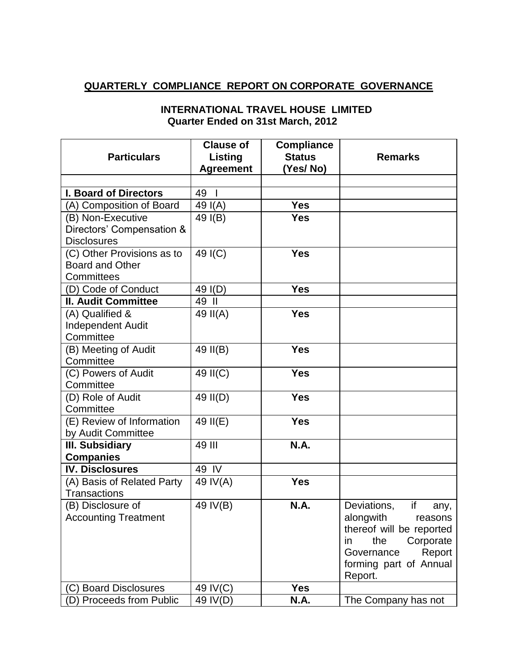## **QUARTERLY COMPLIANCE REPORT ON CORPORATE GOVERNANCE**

| <b>Particulars</b>                                                 | <b>Clause of</b><br>Listing<br><b>Agreement</b> | <b>Compliance</b><br><b>Status</b><br>(Yes/No) | <b>Remarks</b>                                                                                                                                                       |
|--------------------------------------------------------------------|-------------------------------------------------|------------------------------------------------|----------------------------------------------------------------------------------------------------------------------------------------------------------------------|
| <b>I. Board of Directors</b>                                       | $\overline{1}$<br>49                            |                                                |                                                                                                                                                                      |
| (A) Composition of Board                                           | 49 $I(A)$                                       | <b>Yes</b>                                     |                                                                                                                                                                      |
| (B) Non-Executive                                                  | 49 I(B)                                         | <b>Yes</b>                                     |                                                                                                                                                                      |
| Directors' Compensation &<br><b>Disclosures</b>                    |                                                 |                                                |                                                                                                                                                                      |
| (C) Other Provisions as to<br><b>Board and Other</b><br>Committees | 49 I(C)                                         | <b>Yes</b>                                     |                                                                                                                                                                      |
| (D) Code of Conduct                                                | 49 I(D)                                         | <b>Yes</b>                                     |                                                                                                                                                                      |
| <b>II. Audit Committee</b>                                         | 49 II                                           |                                                |                                                                                                                                                                      |
| (A) Qualified &<br><b>Independent Audit</b><br>Committee           | 49 II(A)                                        | <b>Yes</b>                                     |                                                                                                                                                                      |
| (B) Meeting of Audit<br>Committee                                  | 49 II(B)                                        | <b>Yes</b>                                     |                                                                                                                                                                      |
| (C) Powers of Audit<br>Committee                                   | 49 II(C)                                        | <b>Yes</b>                                     |                                                                                                                                                                      |
| (D) Role of Audit<br>Committee                                     | 49 II(D)                                        | <b>Yes</b>                                     |                                                                                                                                                                      |
| (E) Review of Information<br>by Audit Committee                    | 49 II(E)                                        | <b>Yes</b>                                     |                                                                                                                                                                      |
| <b>III. Subsidiary</b>                                             | 49 III                                          | <b>N.A.</b>                                    |                                                                                                                                                                      |
| <b>Companies</b>                                                   |                                                 |                                                |                                                                                                                                                                      |
| <b>IV. Disclosures</b>                                             | 49 IV                                           |                                                |                                                                                                                                                                      |
| (A) Basis of Related Party<br><b>Transactions</b>                  | 49 IV(A)                                        | <b>Yes</b>                                     |                                                                                                                                                                      |
| (B) Disclosure of<br><b>Accounting Treatment</b>                   | 49 IV(B)                                        | <b>N.A.</b>                                    | Deviations,<br>if<br>any,<br>alongwith<br>reasons<br>thereof will be reported<br>the<br>Corporate<br>in<br>Report<br>Governance<br>forming part of Annual<br>Report. |
| <b>Board Disclosures</b><br>(C)                                    | 49 IV(C)                                        | <b>Yes</b>                                     |                                                                                                                                                                      |
| <b>Proceeds from Public</b><br>(D)                                 | 49 IV(D)                                        | N.A.                                           | The Company has not                                                                                                                                                  |

## **INTERNATIONAL TRAVEL HOUSE LIMITED Quarter Ended on 31st March, 2012**